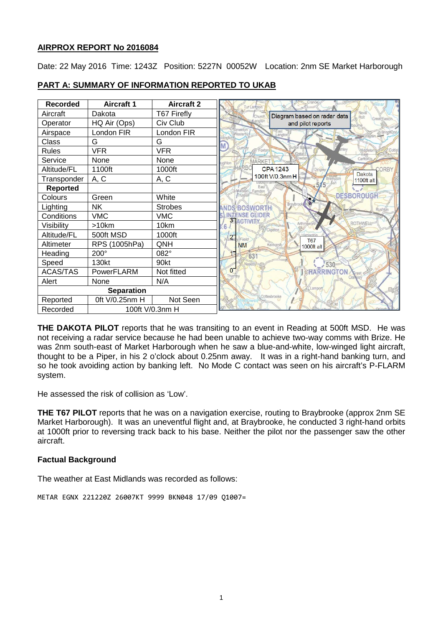## **AIRPROX REPORT No 2016084**

Date: 22 May 2016 Time: 1243Z Position: 5227N 00052W Location: 2nm SE Market Harborough

| <b>Recorded</b>   | <b>Aircraft 1</b> | <b>Aircraft 2</b> |                                                     |
|-------------------|-------------------|-------------------|-----------------------------------------------------|
| Aircraft          | Dakota            | T67 Firefly       | Diagram based on radar data<br>Holt<br>Great Easton |
| Operator          | HQ Air (Ops)      | Civ Club          | and pilot reports                                   |
| Airspace          | London FIR        | London FIR        |                                                     |
| Class             | G                 | G                 | M                                                   |
| <b>Rules</b>      | <b>VFR</b>        | <b>VFR</b>        | on Basset<br>oxto                                   |
| Service           | None              | None              | Carlto<br><b>MARKE</b>                              |
| Altitude/FL       | 1100ft            | 1000ft            | <b>CPA1243</b><br>ORR'<br>Dinale<br><b>Dakota</b>   |
| Transponder       | A, C              | A, C              | 100ft V/0.3nm H<br>1100ft alt                       |
| <b>Reported</b>   |                   |                   | East<br>Farndon                                     |
| Colours           | Green             | White             | <b>DESBOROUGH</b>                                   |
| Lighting          | <b>NK</b>         | <b>Strobes</b>    | <b>Braybr</b><br><b>ANDS BOSWORTH</b>               |
| Conditions        | <b>VMC</b>        | <b>VMC</b>        | <b>INTENSE GIVIDER</b><br><b>3 ACTIVITY</b>         |
| Visibility        | >10km             | 10km              | <b>ROTHWE</b><br>6                                  |
| Altitude/FL       | 500ft MSD         | 1000ft            | 21<br>Field                                         |
| Altimeter         | RPS (1005hPa)     | QNH               | <b>T67</b><br><b>NM</b><br>1000ft alt               |
| Heading           | 200°              | 082°              | 63 <sup>′</sup>                                     |
| Speed             | 130kt             | 90kt              | 530                                                 |
| <b>ACAS/TAS</b>   | PowerFLARM        | Not fitted        | $\sigma$<br><b>HARRINGTON</b><br>Thorrib            |
| Alert             | None              | N/A               |                                                     |
| <b>Separation</b> |                   |                   | ampor                                               |
| Reported          | 0ft V/0.25nm H    | Not Seen          | Cottesbrooke                                        |
| Recorded          | 100ft V/0.3nm H   |                   |                                                     |

#### **PART A: SUMMARY OF INFORMATION REPORTED TO UKAB**

**THE DAKOTA PILOT** reports that he was transiting to an event in Reading at 500ft MSD. He was not receiving a radar service because he had been unable to achieve two-way comms with Brize. He was 2nm south-east of Market Harborough when he saw a blue-and-white, low-winged light aircraft, thought to be a Piper, in his 2 o'clock about 0.25nm away. It was in a right-hand banking turn, and so he took avoiding action by banking left. No Mode C contact was seen on his aircraft's P-FLARM system.

He assessed the risk of collision as 'Low'.

**THE T67 PILOT** reports that he was on a navigation exercise, routing to Braybrooke (approx 2nm SE Market Harborough). It was an uneventful flight and, at Braybrooke, he conducted 3 right-hand orbits at 1000ft prior to reversing track back to his base. Neither the pilot nor the passenger saw the other aircraft.

## **Factual Background**

The weather at East Midlands was recorded as follows:

METAR EGNX 221220Z 26007KT 9999 BKN048 17/09 Q1007=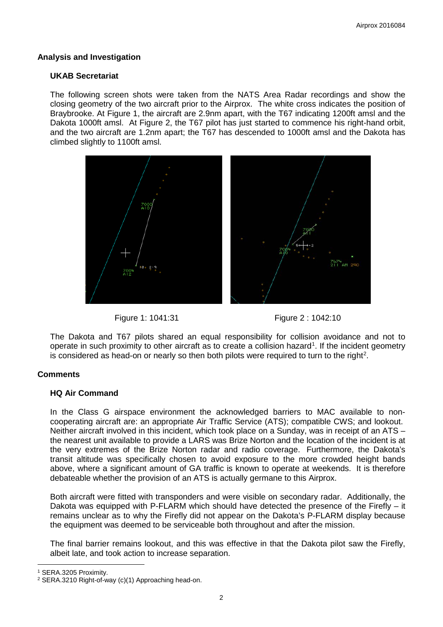#### **Analysis and Investigation**

#### **UKAB Secretariat**

The following screen shots were taken from the NATS Area Radar recordings and show the closing geometry of the two aircraft prior to the Airprox. The white cross indicates the position of Braybrooke. At Figure 1, the aircraft are 2.9nm apart, with the T67 indicating 1200ft amsl and the Dakota 1000ft amsl. At Figure 2, the T67 pilot has just started to commence his right-hand orbit. and the two aircraft are 1.2nm apart; the T67 has descended to 1000ft amsl and the Dakota has climbed slightly to 1100ft amsl.







The Dakota and T67 pilots shared an equal responsibility for collision avoidance and not to operate in such proximity to other aircraft as to create a collision hazard<sup>[1](#page-1-0)</sup>. If the incident geometry is considered as head-on or nearly so then both pilots were required to turn to the right<sup>[2](#page-1-1)</sup>.

## **Comments**

## **HQ Air Command**

In the Class G airspace environment the acknowledged barriers to MAC available to noncooperating aircraft are: an appropriate Air Traffic Service (ATS); compatible CWS; and lookout. Neither aircraft involved in this incident, which took place on a Sunday, was in receipt of an ATS – the nearest unit available to provide a LARS was Brize Norton and the location of the incident is at the very extremes of the Brize Norton radar and radio coverage. Furthermore, the Dakota's transit altitude was specifically chosen to avoid exposure to the more crowded height bands above, where a significant amount of GA traffic is known to operate at weekends. It is therefore debateable whether the provision of an ATS is actually germane to this Airprox.

Both aircraft were fitted with transponders and were visible on secondary radar. Additionally, the Dakota was equipped with P-FLARM which should have detected the presence of the Firefly – it remains unclear as to why the Firefly did not appear on the Dakota's P-FLARM display because the equipment was deemed to be serviceable both throughout and after the mission.

The final barrier remains lookout, and this was effective in that the Dakota pilot saw the Firefly, albeit late, and took action to increase separation.

l <sup>1</sup> SERA.3205 Proximity.

<span id="page-1-1"></span><span id="page-1-0"></span><sup>2</sup> SERA.3210 Right-of-way (c)(1) Approaching head-on.